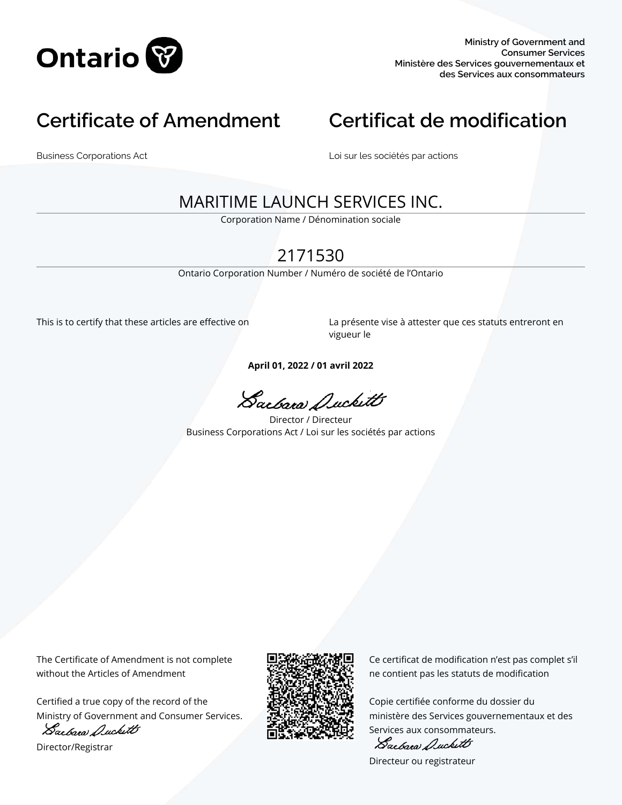

# **Certificate of Amendment Certificat de modification**

Business Corporations Act Loi sur les sociétés par actions

# MARITIME LAUNCH SERVICES INC.

Corporation Name / Dénomination sociale

# 2171530

Ontario Corporation Number / Numéro de société de l'Ontario

This is to certify that these articles are effective on La présente vise à attester que ces statuts entreront en vigueur le

**April 01, 2022 / 01 avril 2022**

Sacbara Duckett

Director / Directeur Business Corporations Act / Loi sur les sociétés par actions

The Certificate of Amendment is not complete without the Articles of Amendment

Certified a true copy of the record of the Ministry of Government and Consumer Services.

Sacbara Duckett

Director/Registrar



Ce certificat de modification n'est pas complet s'il ne contient pas les statuts de modification

Copie certifiée conforme du dossier du ministère des Services gouvernementaux et des Services aux consommateurs.

Sactara Duckett

Directeur ou registrateur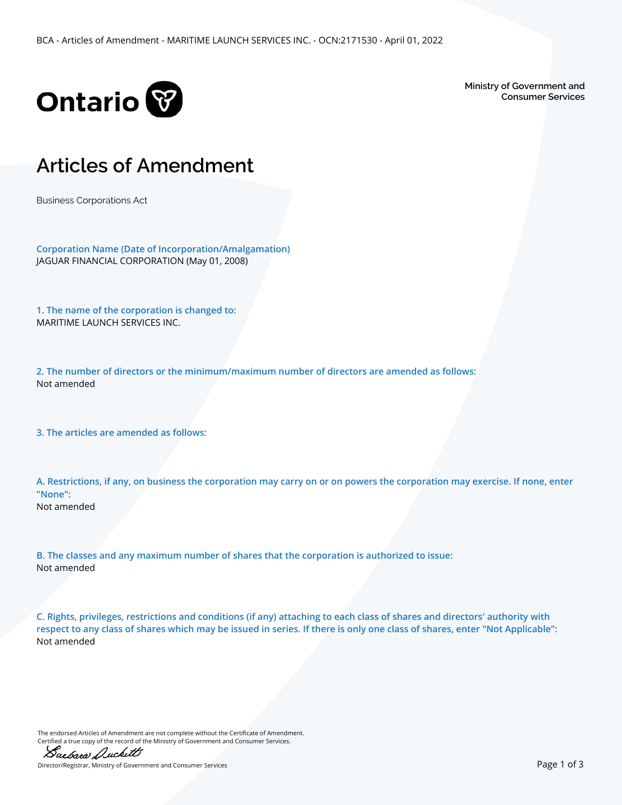

**Ministry of Government and Consumer Services**

# **Articles of Amendment**

Business Corporations Act

**Corporation Name (Date of Incorporation/Amalgamation)** JAGUAR FINANCIAL CORPORATION (May 01, 2008)

**1. The name of the corporation is changed to:** MARITIME LAUNCH SERVICES INC.

**2. The number of directors or the minimum/maximum number of directors are amended as follows:** Not amended

**3. The articles are amended as follows:**

**A. Restrictions, if any, on business the corporation may carry on or on powers the corporation may exercise. If none, enter "None":** Not amended

**B. The classes and any maximum number of shares that the corporation is authorized to issue:** Not amended

**C. Rights, privileges, restrictions and conditions (if any) attaching to each class of shares and directors' authority with respect to any class of shares which may be issued in series. If there is only one class of shares, enter "Not Applicable":** Not amended

The endorsed Articles of Amendment are not complete without the Certificate of Amendment. Certified a true copy of the record of the Ministry of Government and Consumer Services.



Director/Registrar, Ministry of Government and Consumer Services Page 1 of 3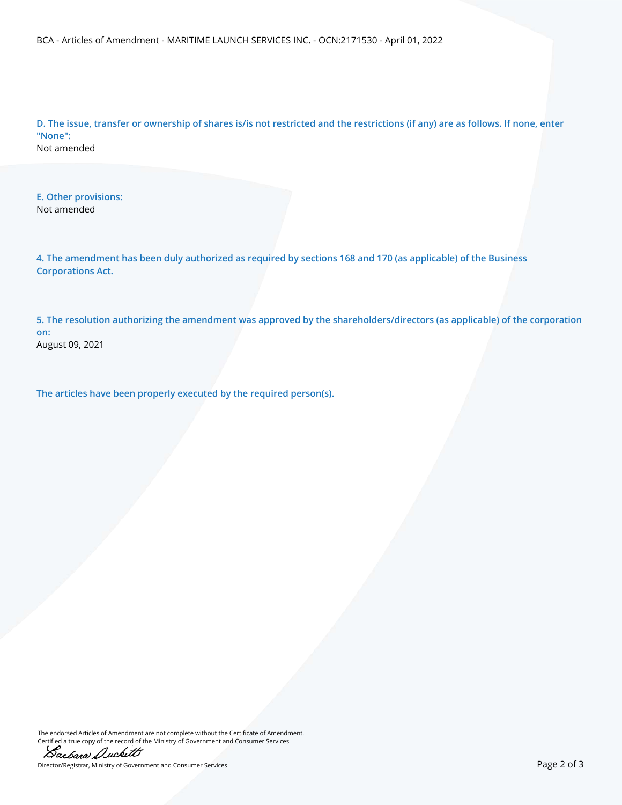BCA - Articles of Amendment - MARITIME LAUNCH SERVICES INC. - OCN:2171530 - April 01, 2022

**D. The issue, transfer or ownership of shares is/is not restricted and the restrictions (if any) are as follows. If none, enter "None":** Not amended

**E. Other provisions:** Not amended

**4. The amendment has been duly authorized as required by sections 168 and 170 (as applicable) of the Business Corporations Act.**

**5. The resolution authorizing the amendment was approved by the shareholders/directors (as applicable) of the corporation on:** August 09, 2021

**The articles have been properly executed by the required person(s).**

The endorsed Articles of Amendment are not complete without the Certificate of Amendment. Certified a true copy of the record of the Ministry of Government and Consumer Services.



Director/Registrar, Ministry of Government and Consumer Services Page 2 of 3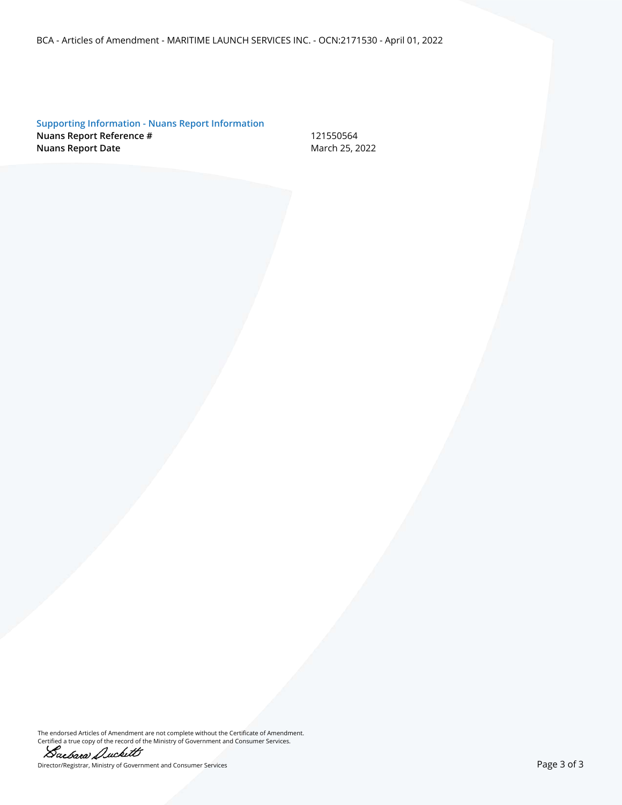BCA - Articles of Amendment - MARITIME LAUNCH SERVICES INC. - OCN:2171530 - April 01, 2022

**Supporting Information - Nuans Report Information Nuans Report Reference #** 121550564 **Nuans Report Date** March 25, 2022

The endorsed Articles of Amendment are not complete without the Certificate of Amendment. Certified a true copy of the record of the Ministry of Government and Consumer Services.



Director/Registrar, Ministry of Government and Consumer Services **Page 3 of 3** and 2011 and 2012 and 2013 and 201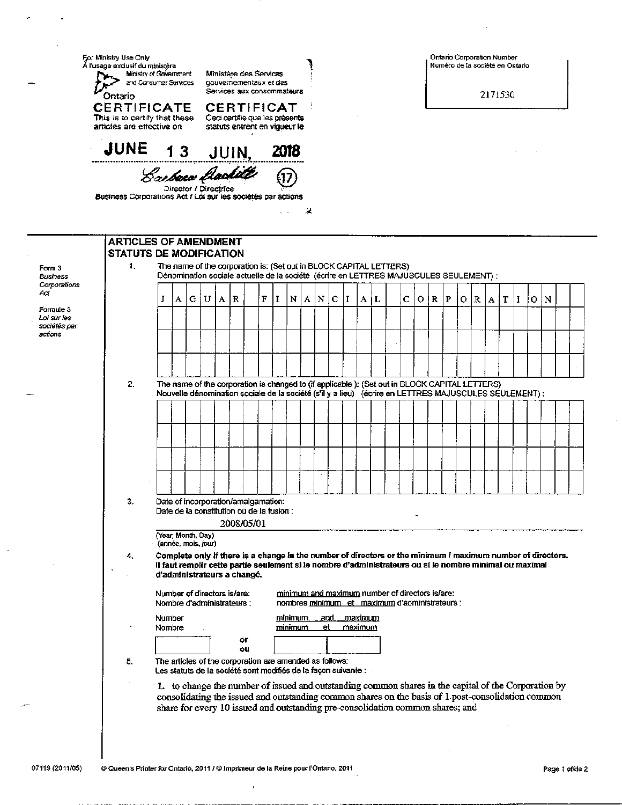| <b>CERTIFICAT</b>                                                                                                      | gouvernementaux et des<br>Services aux consommateurs                                              | 2171530                                                                                                                                                                                                                                                                                                                                                                                                                   |  |  |  |  |  |
|------------------------------------------------------------------------------------------------------------------------|---------------------------------------------------------------------------------------------------|---------------------------------------------------------------------------------------------------------------------------------------------------------------------------------------------------------------------------------------------------------------------------------------------------------------------------------------------------------------------------------------------------------------------------|--|--|--|--|--|
| Ceci certifie que les présents<br>statuts entrent en vigueur le<br>JUNE 13 JUIN, 2018                                  |                                                                                                   |                                                                                                                                                                                                                                                                                                                                                                                                                           |  |  |  |  |  |
| Bachera Clarkitt<br>Director / Directrice<br>Business Corporations Act / Loi sur les sociétés par actions<br>$\ddotsc$ | ж.                                                                                                |                                                                                                                                                                                                                                                                                                                                                                                                                           |  |  |  |  |  |
| <b>ARTICLES OF AMENDMENT</b>                                                                                           |                                                                                                   |                                                                                                                                                                                                                                                                                                                                                                                                                           |  |  |  |  |  |
| <b>STATUTS DE MODIFICATION</b>                                                                                         | The name of the corporation is: (Set out in BLOCK CAPITAL LETTERS)                                |                                                                                                                                                                                                                                                                                                                                                                                                                           |  |  |  |  |  |
|                                                                                                                        | Dénomination sociale actuelle de la société (écrire en LETTRES MAJUSCULES SEULEMENT) :            |                                                                                                                                                                                                                                                                                                                                                                                                                           |  |  |  |  |  |
| $\mathbf F$<br>A R<br>$\bf{I}$                                                                                         | A N<br>$\mathbf c$<br>1<br>A L<br>N                                                               | c<br>O(R)<br>$\mathbf P$<br>N<br>$\mathbb{R}$<br>$A$ $T$ $I$<br>o<br>IO.                                                                                                                                                                                                                                                                                                                                                  |  |  |  |  |  |
|                                                                                                                        |                                                                                                   |                                                                                                                                                                                                                                                                                                                                                                                                                           |  |  |  |  |  |
|                                                                                                                        |                                                                                                   |                                                                                                                                                                                                                                                                                                                                                                                                                           |  |  |  |  |  |
|                                                                                                                        |                                                                                                   |                                                                                                                                                                                                                                                                                                                                                                                                                           |  |  |  |  |  |
|                                                                                                                        | The name of the corporation is changed to (if applicable ): (Set out in BLOCK CAPITAL LETTERS)    |                                                                                                                                                                                                                                                                                                                                                                                                                           |  |  |  |  |  |
|                                                                                                                        |                                                                                                   | Nouvelle dénomination sociale de la société (s'il y a lieu) (écrire en LETTRES MAJUSCULES SEULEMENT) :                                                                                                                                                                                                                                                                                                                    |  |  |  |  |  |
|                                                                                                                        |                                                                                                   |                                                                                                                                                                                                                                                                                                                                                                                                                           |  |  |  |  |  |
|                                                                                                                        |                                                                                                   |                                                                                                                                                                                                                                                                                                                                                                                                                           |  |  |  |  |  |
|                                                                                                                        |                                                                                                   |                                                                                                                                                                                                                                                                                                                                                                                                                           |  |  |  |  |  |
|                                                                                                                        |                                                                                                   |                                                                                                                                                                                                                                                                                                                                                                                                                           |  |  |  |  |  |
| Date of incorporation/amalgamation:                                                                                    |                                                                                                   |                                                                                                                                                                                                                                                                                                                                                                                                                           |  |  |  |  |  |
| Date de la constitution ou de la fusion :<br>2008/05/01                                                                |                                                                                                   |                                                                                                                                                                                                                                                                                                                                                                                                                           |  |  |  |  |  |
|                                                                                                                        |                                                                                                   |                                                                                                                                                                                                                                                                                                                                                                                                                           |  |  |  |  |  |
| d'administrateurs a changé.                                                                                            |                                                                                                   | Complete only if there is a change in the number of directors or the minimum I maximum number of directors.<br>Il faut remplir cette partie seulement si le nombre d'administrateurs ou si le nombre minimal ou maximal                                                                                                                                                                                                   |  |  |  |  |  |
| Number of directors is/are:<br>Nombre d'administrateurs :                                                              | minimum and maximum number of directors is/are:<br>nombres minimum et maximum d'administrateurs : |                                                                                                                                                                                                                                                                                                                                                                                                                           |  |  |  |  |  |
|                                                                                                                        | <u>minimum,</u><br>.and<br><u>maximum</u><br>et.<br>maximum<br><u>minimum</u>                     |                                                                                                                                                                                                                                                                                                                                                                                                                           |  |  |  |  |  |
| ٥r<br>ou                                                                                                               |                                                                                                   |                                                                                                                                                                                                                                                                                                                                                                                                                           |  |  |  |  |  |
|                                                                                                                        |                                                                                                   |                                                                                                                                                                                                                                                                                                                                                                                                                           |  |  |  |  |  |
|                                                                                                                        |                                                                                                   |                                                                                                                                                                                                                                                                                                                                                                                                                           |  |  |  |  |  |
|                                                                                                                        |                                                                                                   | The articles of the corporation are amended as follows:<br>Les statuts de la société sont modifiés de la façon suivante :<br>1. to change the number of issued and outstanding common shares in the capital of the Corporation by<br>consolidating the issued and outstanding common shares on the basis of 1 post-consolidation common<br>share for every 10 issued and outstanding pre-consolidation common shares; and |  |  |  |  |  |

 $\bar{1}$ 

فأوسط والمسا

L.

J.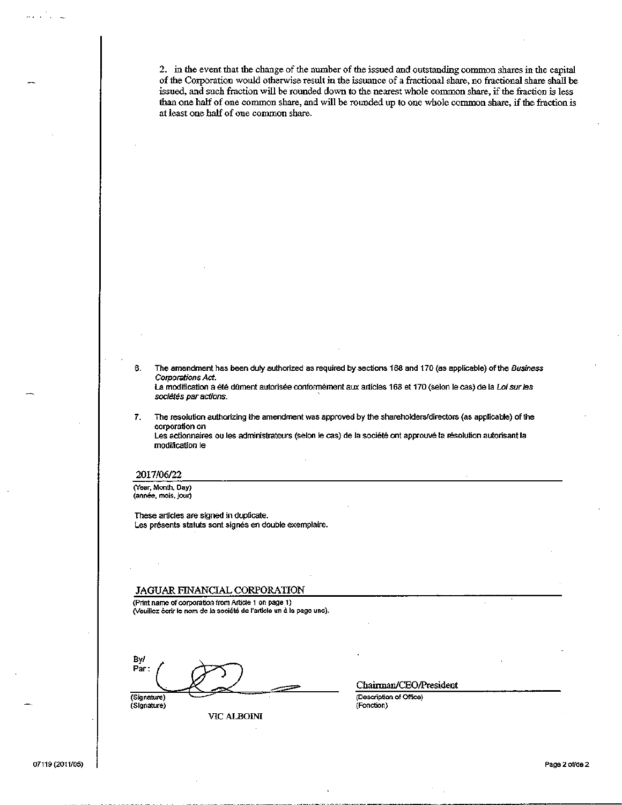2. in the event that the change of the number of the issued and outstanding common shares in the capital of the Corporation would otherwise result in the issuance of a fractional share, no fractional share shall be issued, and such fraction will be rounded down to the nearest whole common share, if the fraction is less than one half of one common share, and will be rounded up to one whole common share, if the fraction is at least one half of one common share.

The amendment has been duly authorized as required by sections 188 and 170 (as applicable) of the Business 6. Corporations Act. La modification a été dument autorisée conformément aux articles 168 et 170 (selon le cas) de la Loi sur les sociétés par actions.

The resolution authorizing the amendment was approved by the shareholders/directors (as applicable) of the 7. corporation on Les actionnaires ou les administrateurs (selon le cas) de la société ont approuvé la résolution autorisant la modification le

### 2017/06/22

(Year, Month, Day) (année, mois, jour)

These articles are signed in duplicate. Les présents statuts sont signés en double exemplaire.

### JAGUAR FINANCIAL CORPORATION

(Print name of corporation from Article 1 on page 1) .<br>(Veuillez écrir le nom de la société de l'article un à la page une).

By/ Par:

(Signature) (Signature)

VIC ALBOINI

Chairman/CEO/President

(Description of Office) (Fonction)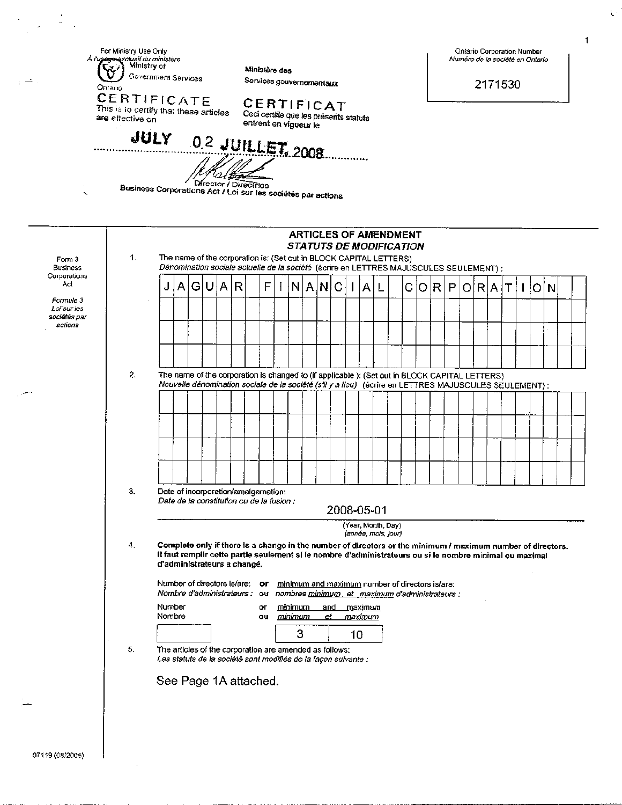Numéro de la société en Ontario

For Ministry Use Only Ontario Corporation Number exclusif du minîstère<br>A Ministry of ÀI Ministère des U Government Services Services gouvernementaux 2171530 Ontario CERTIFICATE CERTIFICAT This is to certify that these articles Ceci certifie que les présents statuts are effective on entrent en vigueur le JULY 0.2 JUILLET, 2008 la{β Director / Directrice Business Corporations Act / Loi sur les sociétés par actions **ARTICLES OF AMENDMENT STATUTS DE MODIFICATION**  $\mathbf 1$ . The name of the corporation is: (Set out in BLOCK CAPITAL LETTERS) Form 3 Dénomination sociale actuelle de la société (écrire en LETTRES MAJUSCULES SEULEMENT) : **Business** Corporations A R F  $\mathbf{I}$ A A Ć Ō А G N N С R P R T İΟ J I L Ο A  $\mathbf{I}$ Formule 3 Loi sur les sociétés par actions  $\overline{2}$ The name of the corporation is changed to (if applicable ): (Set out in BLOCK CAPITAL LETTERS) Nouvelle dénomination sociale de la société (s'il y a lieu) (écrire en LETTRES MAJUSCULES SEULEMENT) : 3. Date of incorporation/amalgamation: Date de la constitution ou de la fusion : 2008-05-01 (Year, Month, Day) (année, mois, jour)  $4,$ Complete only if there is a change in the number of directors or the minimum / maximum number of directors. Il faut remplir cette partie seulement si le nombre d'administrateurs ou si le nombre minimal ou maximal d'administrateurs a changé. Number of directors is/are: or minimum and maximum number of directors is/are: Nombre d'administrateurs : ou nombres minimum et maximum d'administrateurs : Number or minimum and maximum Nombre ou <u>minimum</u> et . <u>maximum</u> 3 10 5. The articles of the corporation are amended as follows: Les statuts de la société sont modifiés de la façon suivante : See Page 1A attached.

Act

1

N

t.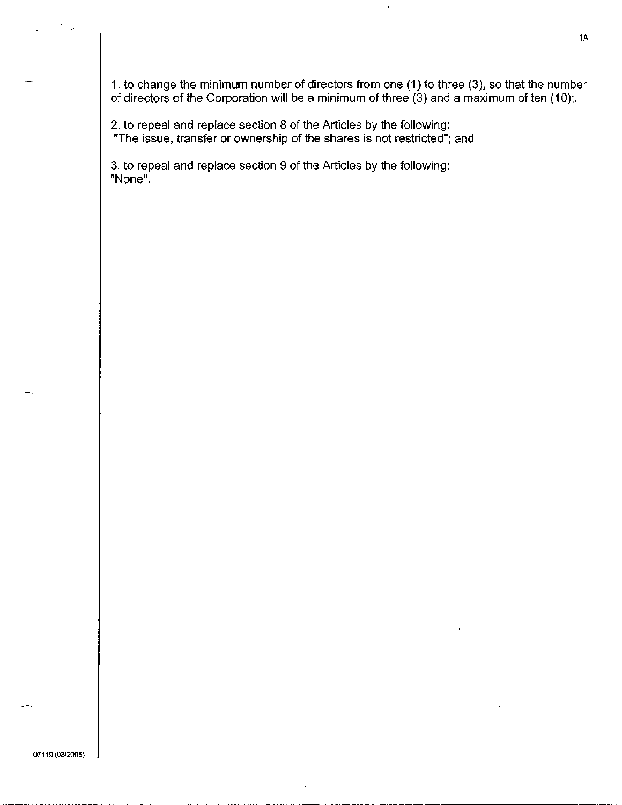1. to change the minimum number of directors from one (1) to three (3), so that the number of directors of the Corporation will be a minimum of three (3) and a maximum of ten (10);.

2. to repeal and replace section 8 of the Articles by the following: "The issue, transfer or ownership of the shares is not restricted"; and

3. to repeal and replace section 9 of the Articles by the following: "None".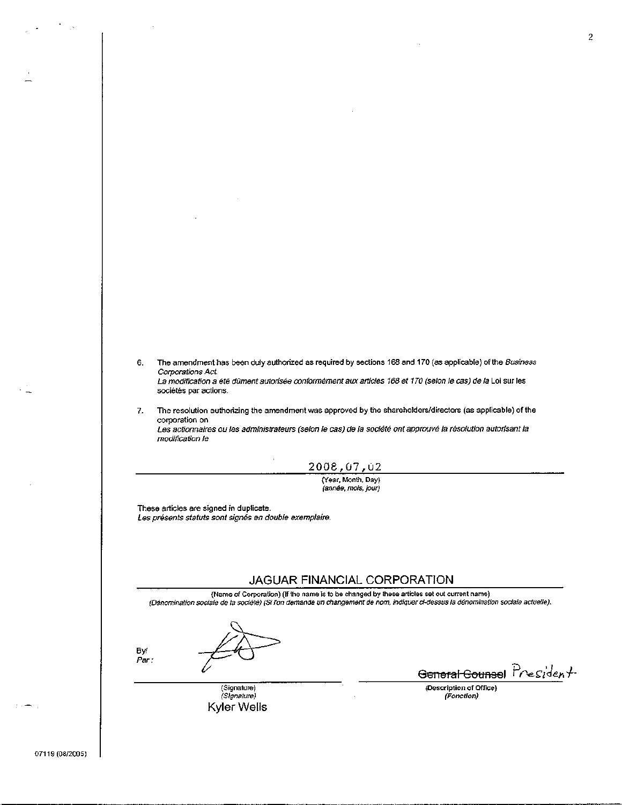- 6. The amendment has been duly authorized as required by sections 168 and 170 (as applicable) of the Business Corporations Act. La modification a été dûment autorisée conformément aux articles 168 et 170 (selon le cas) de la Loi sur les sociétés par actions.
- The resolution authorizing the amendment was approved by the shareholders/directors (as applicable) of the 7. corporation on Les actionnaires ou les administrateurs (selon le cas) de la société ont approuvé la résolution autorisant la modification le
	- 2008,07,02

(Year, Month, Day)<br>(année, mois, jour)

These articles are signed in duplicate. Les présents statuts sont signés en double exemplaire.

### JAGUAR FINANCIAL CORPORATION

(Name of Corporation) (If the name is to be changed by these articles set out current name) (Dénomination sociale de la société) (Si l'on demande un changement de nom, indiquer ci-dessus la dénomination sociale actuelle).

By/ Par:

> (Signature) (Signature) Kyler Wells

General Counsel President

(Description of Office) (Fonction)

07119 (08/2005)

 $\overline{c}$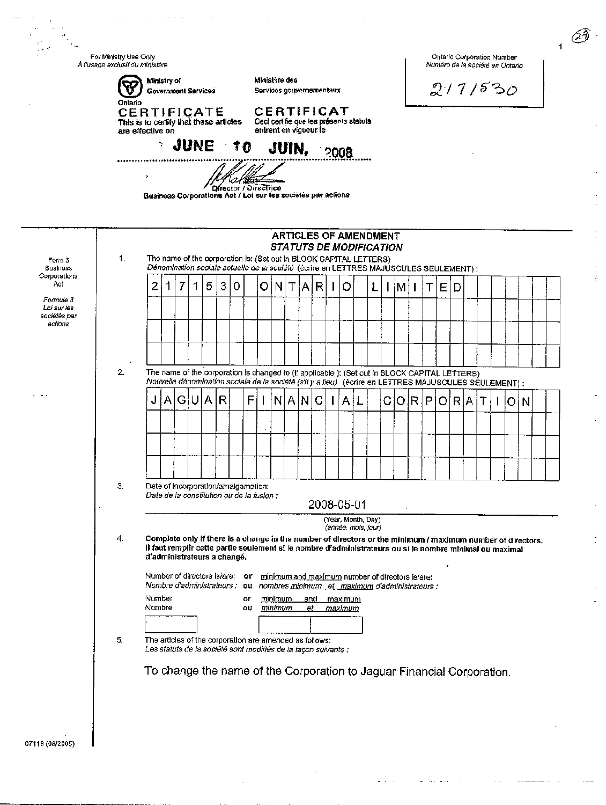For Ministry Use Only Ontario Corporation Number À l'usage exclusif du ministère Numéro de la société en Ontario Ministry of Ministère des ନ୍ମ  $2171530$ **Government Services** Services gouvernementaux Ontario **CERTIFICATE** CERTIFICAT This is to certify that these articles Ceci certifie que les présents statuts are effective on entrent en vigueur le JUNE 10 JUIN. 2008 . . . . . . . . . . . . Director / Directrice Business Corporations Act / Loi sur les sociétés par actions **ARTICLES OF AMENDMENT** *STATUTS DE MODIFICATION* The name of the corporation is: (Set out in BLOCK CAPITAL LETTERS) 1. Form 3 Dénomination sociale actuelle de la société (écrire en LETTRES MAJUSCULES SEULEMENT) : **Business** Corporations Act 2 1 7 1 5 3 0 o N Т A O  $\mathsf{I}$ L Е R М Т D Formule 3 Loi sur les sociétés par actions 2. The name of the corporation is changed to (if applicable ): (Set out in BLOCK CAPITAL LETTERS) Nouvelle dénomination sociale de la société (s'il y a lieu) (écrire en LETTRES MAJUSCULES SEULEMENT) : U IA.  $\overline{\mathsf{R}}$ F  $N$  $A$  $N$  $C$ CIO RIP J Α G  $\mathbf{I}$  $\mathbf{I}$  $\mathsf{A}$ OIR A Ł Τ I loi n 3, Date of Incorporation/amalgamation: Date de la constitution ou de la fusion : 2008-05-01 (Year, Month, Day) (année, mois, jour) Complete only if there is a change in the number of directors or the minimum / maximum number of directors.  $\overline{4}$ Il faut remplir cette partie seulement si le nombre d'administrateurs ou si le nombre minimal ou maximal d'administrateurs a changé. Number of directors is/are: or minimum and maximum number of directors is/are: Nombre d'administrateurs : ou nombres minimum et maximum d'administrateurs : Number or minimum and maximum Nombre <u>minimum</u> ou et <u>maximum</u> 5. The articles of the corporation are amended as follows: Les statuts de la société sont modifiés de la façon suivante : To change the name of the Corporation to Jaguar Financial Corporation. 07119 (08/2005)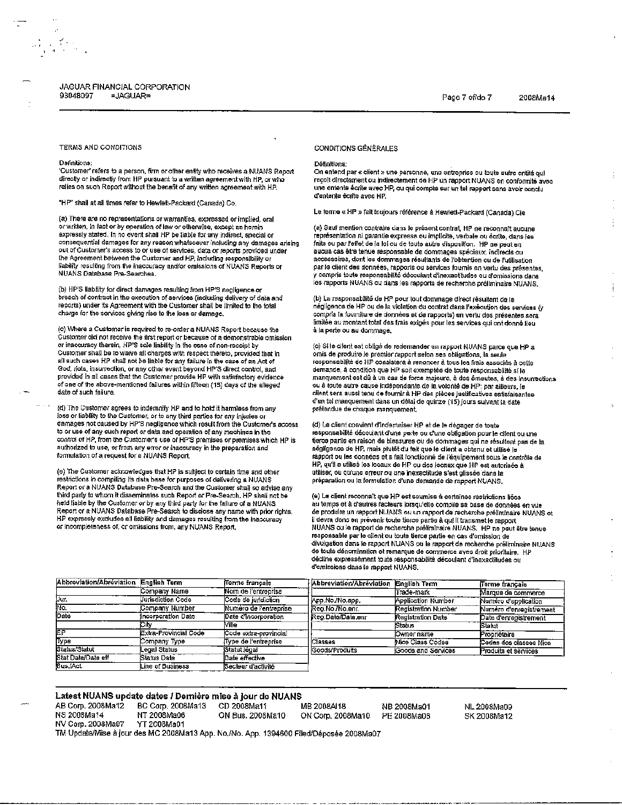#### JAGUAR FINANCIAL CORPORATION 93048097 =JAGUAR=

2008Ma14

ŧ

### TERMS AND CONDITIONS

#### Dafinitions:

 $\frac{1}{2\pi}\sum_{\mathbf{k}\in\mathbb{Z}}\frac{\mathbf{1}_{\mathbf{k}}\mathbf{1}_{\mathbf{k}}}{\mathbf{1}_{\mathbf{k}}\mathbf{1}_{\mathbf{k}}}\mathbf{1}_{\mathbf{k}}\mathbf{1}_{\mathbf{k}}$ 

'Customer' refers to a person, firm or other entity who receives a NUANS Report directly or indirectly from HP pursuant to a written agreement with HP, or who relies on such Report without the benefit of any written agreement with HP.

"HP" shall at all times refer to Hewlett-Packard (Canada) Co.

(a) There are no representations or warranties, expressed or implied, oral or written, in fact or by operation of law or otherwise, except as herein expressly stated. In no event shall HP be liable for any indirect, special or consequential damages for any reason whatsoever including any damages arising out of Customer's access to or use of services, data or reports provided under the Agreement between the Customer and HP, including responsibility or liability resulting from the inaccuracy and/or omissions of NUANS Reports or NUANS Database Pre-Searches.

(b) HP'S liability for direct damages resulting from HP'S negligence or breach of contract in the execution of services (including delivery of data and reports) under its Agreement with the Customer shall be limited to the total charge for the services giving rise to the loss or damage.

(c) Where a Customer is required to re-order a NUANS Report because the Customer did not receive the first report or because of a demonstrable omission or inaccuracy therein, HP'S sole liability in the case of non-receipt by Customer shall be to waive all charges with respect thereto, provided that in all such cases HP shall not be liable for any failure in the case of an Act of God, riots, insurrection, or any other event beyond HP'S direct control, and provided in all cases that the Customer provide HP with satisfactory evidence of one of the above-mentioned failures within fifteen (15) days of the alleged date of such failure.

(d) The Customer agrees to indemnify HP and to hold it harmless from any loss or liability to the Customer, or to any third parties for any injuries or damages not caused by HP'S negligence which result from the Customer's access to or use of any such report or data and operation of any machines in the control of HP, from the Customer's use of HP'S premises or premises which HP is authorized to use, or from any error or inaccuracy in the preparation and formulation of a request for a NUANS Report,

(e) The Customer acknowledges that HP is subject to certain time and other restrictions in compiling its data base for purposes of delivering a NUANS<br>Report or a NUANS Database Pre-Search and the Customer shall so advise any the party to whom it disseminates such Report or Pre-Search, HP shall not be and paint in an experiment of by any third party for the fallure of a NUANS.<br>Report of a NUANS Database Pre-Search to disclose any name with prior rights. HP expressly excludes all liability and damages resulting from the inaccuracy or incompleteness of, or omissions from, any NUANS Report.

### **CONDITIONS GÉNÉRALES**

### Définitions:

On entend par « client » une personne, une entreprise ou toute autre entité qui reçoit directament ou indirectement de HP un rapport NUANS en conformité avec une entente écrite avec HP, ou qui compte sur un tel rapport sans avoir conclud'entente écrite avec HP.

Le terme « HP » fait toujours référence à Hewlett-Packard (Canada) Cie

(a) Sauf mention contraire dans le présent contrat, HP ne reconnaît aucune représentation ni garantie expresse ou implicite, verbale ou écrite, dans les faits ou par l'effet de la loi ou de toute autre disposition. HP ne peut en aucun cas être tenue responsable de dommages spéciaux, indirects ou accessoires, dont les dommages résultants de l'obtention ou de l'utilisation par le client des données, rapports ou services fournis en vertu des présentes, y compris toute responsabilité découlant d'inexactitudes ou d'omissions dans les rapports NUANS ou dans les rapports de recharche préliminaire NUANS.

(b) La responsabilité de HP pour tout dommage direct résultant de la négligence de HP ou de la violation du contrat dans l'exécution des services (y compris la fourniture de données et de rapports) en vertu des présentes sera limitée au montant total des frais exigés pour les services qui ont donné lieu à la perte ou au dommage.

(c) Si le client est obligé de redemander un rapport NUANS parce que HP a omis de produire le premier rapport selon ses obligations, la seule responsabilité de HP consistera à renoncer à tous les frais associés à cette demande, à condition que HP soit exemptée de toute responsabilité si le manquement est dû à un cas de force majeure, à des émeutes, à des insurrections ou à toute autre cause indépendante de la volonté de HP; par ailleurs, le client sera aussi tenu de fournir à HP des pièces justificatives satisfaisantes<br>d'un tel manquement dans un délai de quinze (15) jours suivant la date prétendue de chaque manquement.

(d) Le client convient d'indemniser HP et de le dégager de toute responsabilité découlant d'une perte ou d'une obligation pour le client ou une tierce partie en raison de blessures ou de dommages qui ne résultent pas de la négligence de HP, mais plutôt du fait que le client a obtenu et utilisé le rapport ou les données et a fait fonctionné de l'équipement sous le contrôle de HP, qu'il a utilisé les locaux de HP ou des locaux que HP est autorisée à utiliser, ou qu'une erreur ou une inexactitude s'est glissée dans la préparation ou la formulation d'une demande de rapport NUANS.

(e) Le client reconnaît que HP est soumise à certaines restrictions liées au temps et à d'autres facteurs lorsqu'elle compile sa base de données en vue de produire un rapport NUANS ou un rapport de recherche préliminaire NUANS et il devia donc en prévenir bute dicre partie de qui il transme le responsable par a prévenir bute dicre partie de qui il transme le report au RIANS ou le rapport de recherche préliminaire NUANS. HP ne peut âtre tenue respon décline expressement toute responsabilité découlant d'inexactitudes ou d'omissions dans le rapport NUANS.

| Abbreviation/Abreviation English Term |                          | Terme français         | Abbreviation/Abréviation English Term |                     | Terme francais          |
|---------------------------------------|--------------------------|------------------------|---------------------------------------|---------------------|-------------------------|
|                                       | Comoany Name             | Nom de l'entreprise    |                                       | lTrade-mark         | Marque de commerce      |
| Dur.                                  | <b>Uurisdiction Code</b> | Code de juridiction    | Арр. No./No.app.                      | Application Number  | Numero d'application    |
| ivo.                                  | Company Number           | Numéro de l'entreprise | Reg.No./No.enr.                       | Registration Number | Numero d'enregistrement |
| Date<br>iCitv                         | Incorporation Date       | Date d'incorporation   | Reg.Date/Date,enr                     | Registration Date   | Date d'enregistrement   |
|                                       |                          | Mille                  |                                       | Status              | Statut                  |
| EP                                    | Extra-Provincial Code    | Code extra-provincial  |                                       | Owner name          | Propriétaire            |
| Type                                  | Company Type             | lType de l'entreprise  | <b>Classes</b>                        | Nice Class Codes    | Codes des classes Nice  |
| Status/Statut                         | Legal Status             | Statut légal           | Goods/Produits                        | Goods and Services  | Produits et services    |
| Stat Date/Date eff                    | Status Date              | Date effective         |                                       |                     |                         |
| Bus,/Act                              | Line of Business         | Secteur d'activité     |                                       |                     |                         |

#### Latest NUANS update dates / Dernière mise à jour de NUANS AB Corp. 2008Ma12 BC Corp. 2008Ma13 CD 2008Ma11 MB 2008AI18 NB 2008Ma01 NL 2008Ma09 NS 2008Ma14 NT 2008Ma06 ON Bus. 2008Ma10 ON Corp. 2008Ma10 PE 2008Ma08 SK 2008Ma12 NV Corp. 2008Ma07 YT 2008Ma01 TM Update/Mise à jour des MC 2008Ma13 App. No./No. App. 1394600 Filed/Déposée 2008Ma07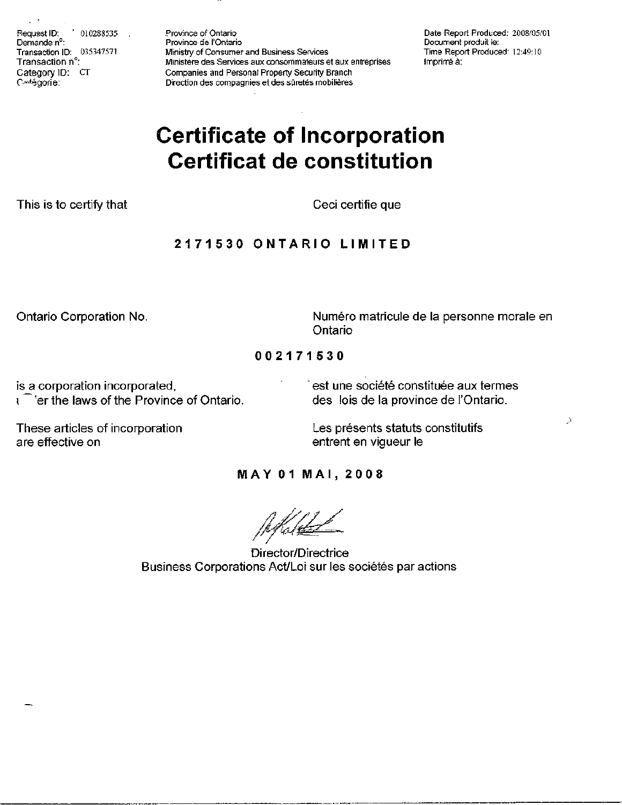Request ID:  $'$  010288535 Demande nº: Transaction ID: 035347571 Transaction n°: Category ID: CT Cetégorie:

Province of Ontario Province de l'Ontario Ministry of Consumer and Business Services Ministère des Services aux consommateurs et aux entreprises Companies and Personal Property Security Branch Direction des compagnies et des sûretés mobilières

Date Report Produced: 2008/05/01 Document produit le: Time Report Produced: 12:49:10 Imprimé à:

# **Certificate of Incorporation Certificat de constitution**

This is to certify that

Ceci certifie que

# 2171530 ONTARIO LIMITED

Ontario Corporation No.

Numéro matricule de la personne morale en Ontario

Þ

002171530

is a corporation incorporated, <sup>1</sup> er the laws of the Province of Ontario. est une société constituée aux termes des lois de la province de l'Ontario.

These articles of incorporation are effective on

Les présents statuts constitutifs entrent en vigueur le

# **MAY 01 MAI, 2008**

Director/Directrice Business Corporations Act/Loi sur les sociétés par actions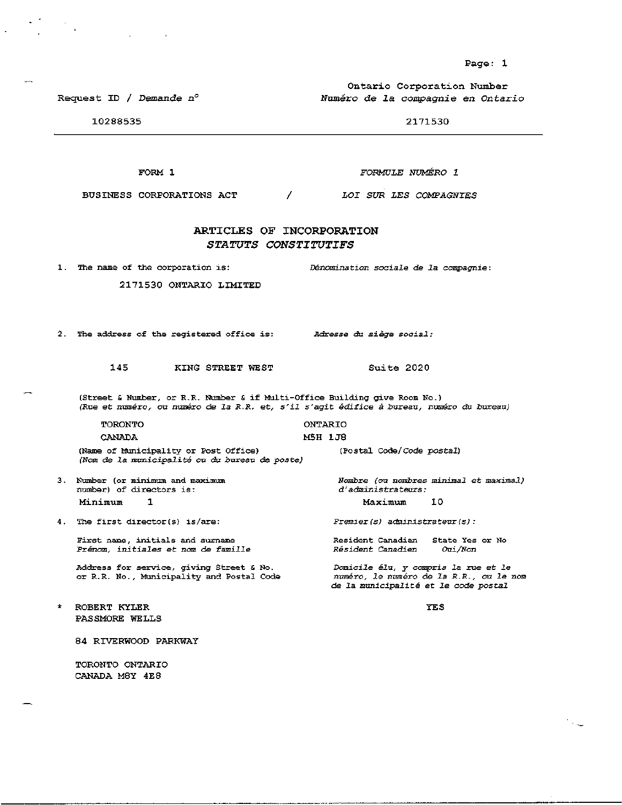Ontario Corporation Number Numéro de la compagnie en Ontario

2171530

10288535

Request ID / Demande  $n^{\circ}$ 

FORMULE NUMÉRO 1

BUSINESS CORPORATIONS ACT  $\prime$ LOI SUR LES COMPAGNIES

### ARTICLES OF INCORPORATION STATUTS CONSTITUTIFS

1. The name of the corporation is:

2171530 ONTARIO LIMITED

2. The address of the registered office is:

145 KING STREET WEST

(Street & Number, or R.R. Number & if Multi-Office Building give Room No.) (Rue et numéro, ou numéro de la R.R. et, s'il s'agit édifice à bureau, numéro du bureau)

TORONTO **ONTARIO** CANADA M5H 1J8 (Name of Municipality or Post Office) (Postal Code/Code postal) (Nom de la municipalité ou du bureau de poste) 3. Number (or minimum and maximum Nombre (ou nombres minimal et maximal) d'administrateurs:

number) of directors is: Minimum  $\mathbf{1}$ 

4. The first director(s) is/are:

First name, initials and surname Prénom, initiales et nom de famille

Address for service, giving Street & No. or R.R. No., Municipality and Postal Code

ROBERT KYLER PASSMORE WELLS **YES** 

10

Oui/Non

 $\sim$   $\omega$ 

84 RIVERWOOD PARKWAY

TORONTO ONTARIO CANADA M8Y 4E8

FORM 1

Suite 2020

Maximum

Résident Canadien

 $Premier(s)$  administrateur(s):

Resident Canadian State Yes or No

Domicile élu, y compris la rue et le numéro, le numéro de la R.R., ou le nom

de la municipalité et le code postal

Dénomination sociale de la compagnie:

Adresse du siège social: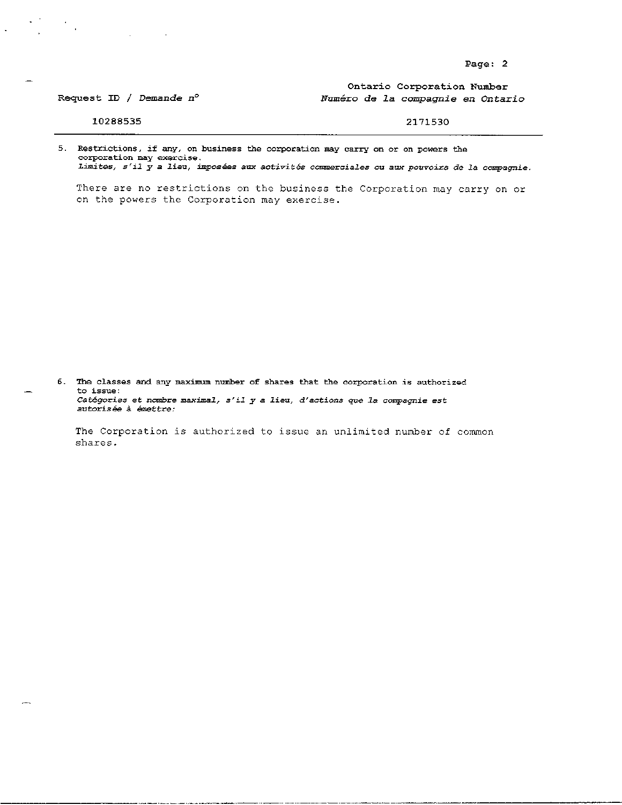Ontario Corporation Number Numéro de la compagnie en Ontario

### 10288535

Request ID / Demande n°

### 2171530

5. Restrictions, if any, on business the corporation may carry on or on powers the corporation may exercise.

Limites,  $s'$ il  $\bar{y}$  a lieu, imposées aux activités commerciales ou aux pouvoirs de la compagnie.

There are no restrictions on the business the Corporation may carry on or on the powers the Corporation may exercise.

6. The classes and any maximum number of shares that the corporation is authorized to issue: Catégories et nombre maximal, s'il y a lieu, d'actions que la compagnie est autorisée à émettre:

The Corporation is authorized to issue an unlimited number of common shares.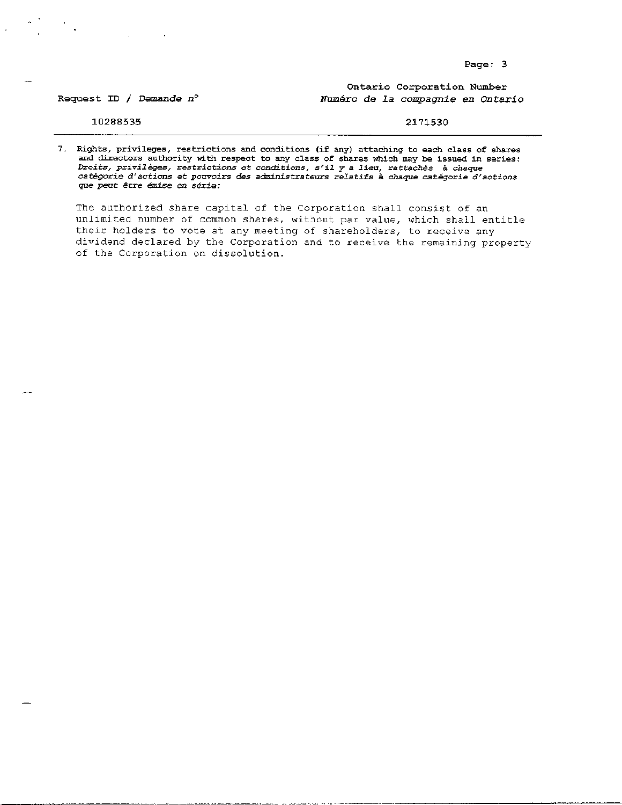Ontario Corporation Number Numéro de la compagnie en Ontario

Request ID / Demande  $n^{\circ}$ 

10288535

2171530

7. Rights, privileges, restrictions and conditions (if any) attaching to each class of shares and directors authority with respect to any class of shares which may be issued in series: Droits, privilèges, restrictions et conditions, s'il y a lieu, rattachés à chaque catégorie d'actions et pouvoirs des administrateurs relatifs à chaque catégorie d'actions que peut être émise en série:

The authorized share capital of the Corporation shall consist of an unlimited number of common shares, without par value, which shall entitle their holders to vote at any meeting of shareholders, to receive any dividend declared by the Corporation and to receive the remaining property of the Corporation on dissolution.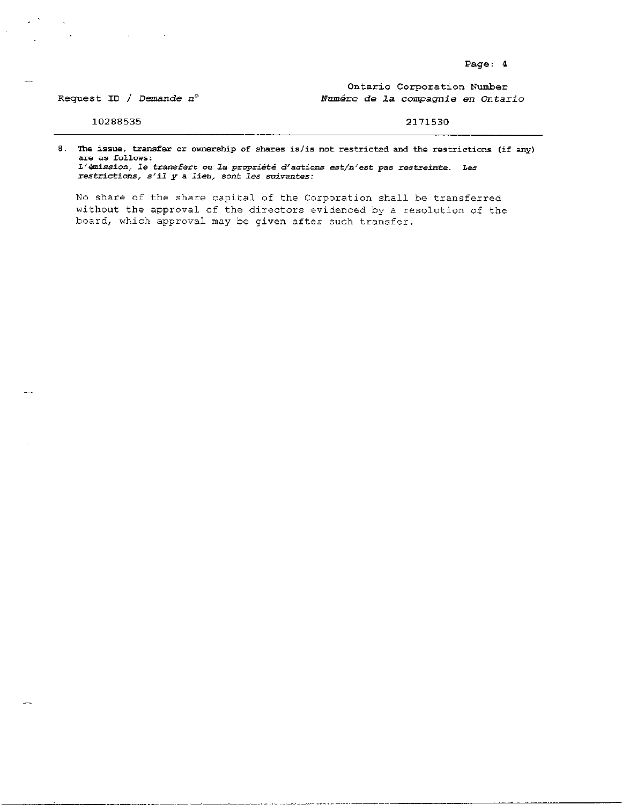Ontario Corporation Number Numéro de la compagnie en Ontario

Request ID / Demande  $n^{\circ}$ 

10288535

 $\sim$   $\sim$ 

2171530

8. The issue, transfer or ownership of shares is/is not restricted and the restrictions (if any) are as follows: L'émission, le transfert ou la propriété d'actions est/n'est pas restreinte. Les restrictions, s'il y a lieu, sont les suivantes:

No share of the share capital of the Corporation shall be transferred without the approval of the directors evidenced by a resolution of the board, which approval may be given after such transfer.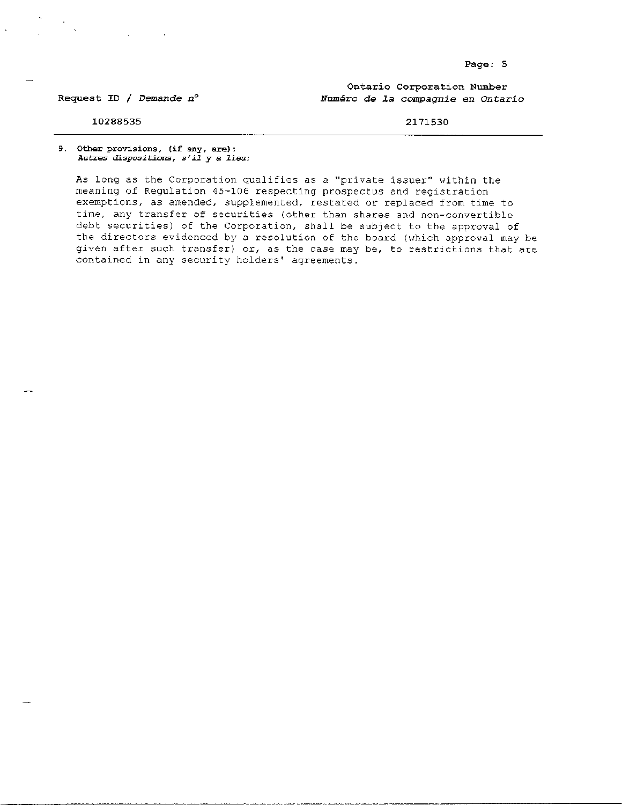Request ID / Demande  $n^{\circ}$ 

Ontario Corporation Number Numéro de la compagnie en Ontario

10288535

2171530

9. Other provisions, (if any, are): Autres dispositions, s'il y a lieu:

As long as the Corporation qualifies as a "private issuer" within the meaning of Regulation 45-106 respecting prospectus and registration exemptions, as amended, supplemented, restated or replaced from time to time, any transfer of securities (other than shares and non-convertible debt securities) of the Corporation, shall be subject to the approval of the directors evidenced by a resolution of the board (which approval may be given after such transfer) or, as the case may be, to restrictions that are contained in any security holders' agreements.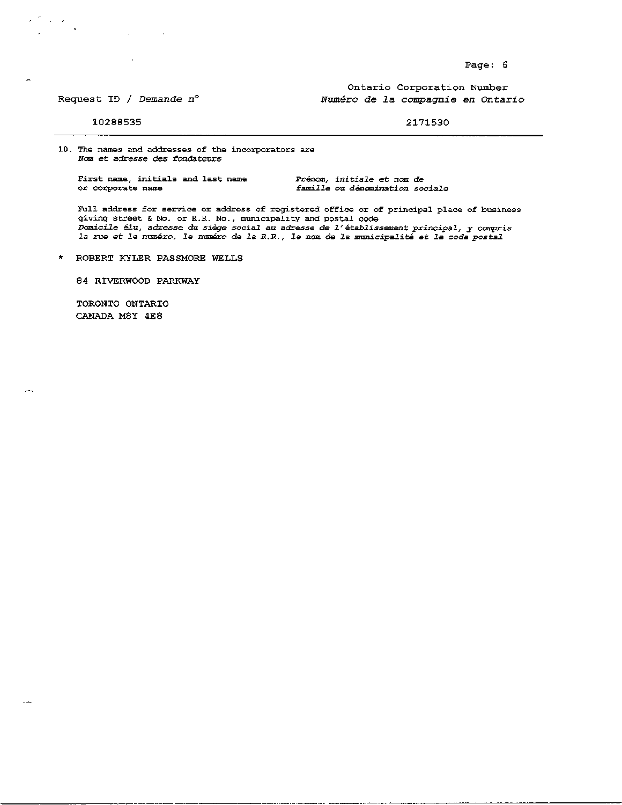Ontario Corporation Number Numéro de la compagnie en Ontario

### Request ID / Demande  $n^{\circ}$

10288535

 $\alpha\in\mathcal{A}$  $\mathbf{r}$ 

### 2171530

10. The names and addresses of the incorporators are Nom et adresse des fondateurs

First name, initials and last name or corporate name

Prénom, initiale et nom de famille ou dénomination sociale

Full address for service or address of registered office or of principal place of business giving street & No. or R.R. No., municipality and postal code Domicile élu, adresse du siège social au adresse de l'établissement principal, y compris la rue et le numéro, le numéro de la R.R., le nom de la municipalité et le code postal

#### ROBERT KYLER PASSMORE WELLS  $\star$

84 RIVERWOOD PARKWAY

TORONTO ONTARIO CANADA M8Y 4E8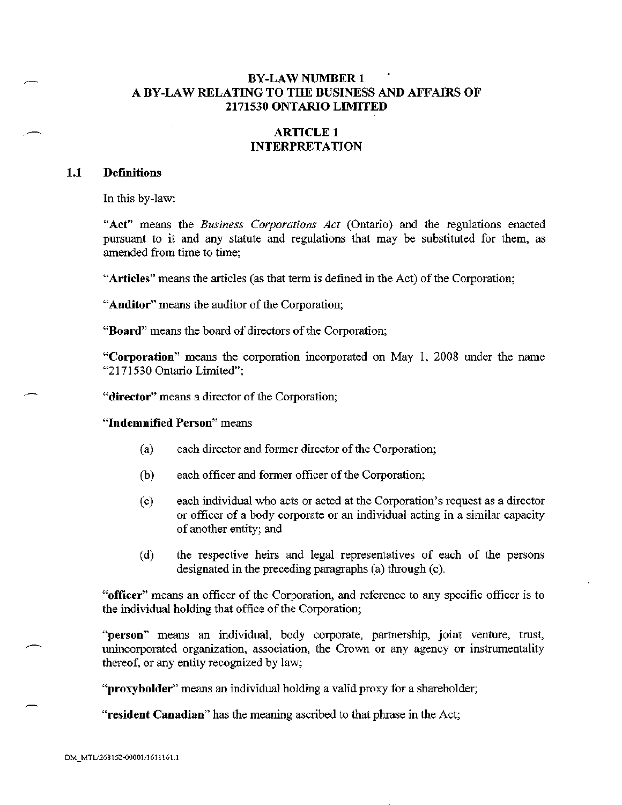# **BY-LAW NUMBER 1** A BY-LAW RELATING TO THE BUSINESS AND AFFAIRS OF 2171530 ONTARIO LIMITED

# **ARTICLE 1 INTERPRETATION**

#### **Definitions**  $1.1$

In this by-law:

"Act" means the *Business Corporations Act* (Ontario) and the regulations enacted pursuant to it and any statute and regulations that may be substituted for them, as amended from time to time:

"Articles" means the articles (as that term is defined in the Act) of the Corporation;

"Auditor" means the auditor of the Corporation;

"Board" means the board of directors of the Corporation;

"Corporation" means the corporation incorporated on May 1, 2008 under the name "2171530 Ontario Limited":

"director" means a director of the Corporation;

"Indemnified Person" means

- each director and former director of the Corporation;  $(a)$
- (b) each officer and former officer of the Corporation;
- each individual who acts or acted at the Corporation's request as a director  $(c)$ or officer of a body corporate or an individual acting in a similar capacity of another entity; and
- the respective heirs and legal representatives of each of the persons  $(d)$ designated in the preceding paragraphs (a) through (c).

"officer" means an officer of the Corporation, and reference to any specific officer is to the individual holding that office of the Corporation;

"person" means an individual, body corporate, partnership, joint venture, trust, unincorporated organization, association, the Crown or any agency or instrumentality thereof, or any entity recognized by law;

"proxyholder" means an individual holding a valid proxy for a shareholder;

"resident Canadian" has the meaning ascribed to that phrase in the Act;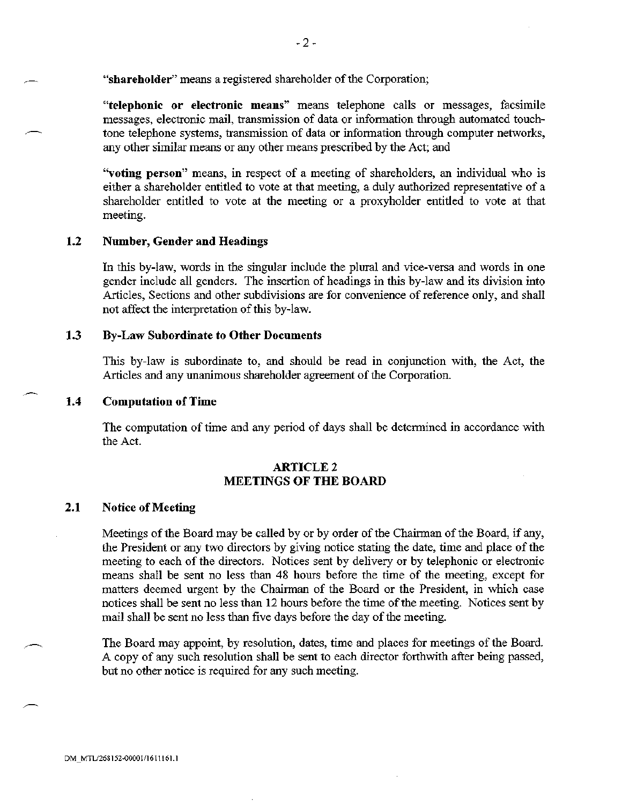"shareholder" means a registered shareholder of the Corporation;

"telephonic or electronic means" means telephone calls or messages, facsimile messages, electronic mail, transmission of data or information through automated touchtone telephone systems, transmission of data or information through computer networks, any other similar means or any other means prescribed by the Act; and

"voting person" means, in respect of a meeting of shareholders, an individual who is either a shareholder entitled to vote at that meeting, a duly authorized representative of a shareholder entitled to vote at the meeting or a proxyholder entitled to vote at that meeting.

#### $1.2$ Number, Gender and Headings

In this by-law, words in the singular include the plural and vice-versa and words in one gender include all genders. The insertion of headings in this by-law and its division into Articles, Sections and other subdivisions are for convenience of reference only, and shall not affect the interpretation of this by-law.

#### $1.3$ **By-Law Subordinate to Other Documents**

This by-law is subordinate to, and should be read in conjunction with, the Act, the Articles and any unanimous shareholder agreement of the Corporation.

#### $1.4$ **Computation of Time**

The computation of time and any period of days shall be determined in accordance with the Act.

## **ARTICLE 2 MEETINGS OF THE BOARD**

#### $2.1$ **Notice of Meeting**

Meetings of the Board may be called by or by order of the Chairman of the Board, if any, the President or any two directors by giving notice stating the date, time and place of the meeting to each of the directors. Notices sent by delivery or by telephonic or electronic means shall be sent no less than 48 hours before the time of the meeting, except for matters deemed urgent by the Chairman of the Board or the President, in which case notices shall be sent no less than 12 hours before the time of the meeting. Notices sent by mail shall be sent no less than five days before the day of the meeting.

The Board may appoint, by resolution, dates, time and places for meetings of the Board. A copy of any such resolution shall be sent to each director forthwith after being passed, but no other notice is required for any such meeting.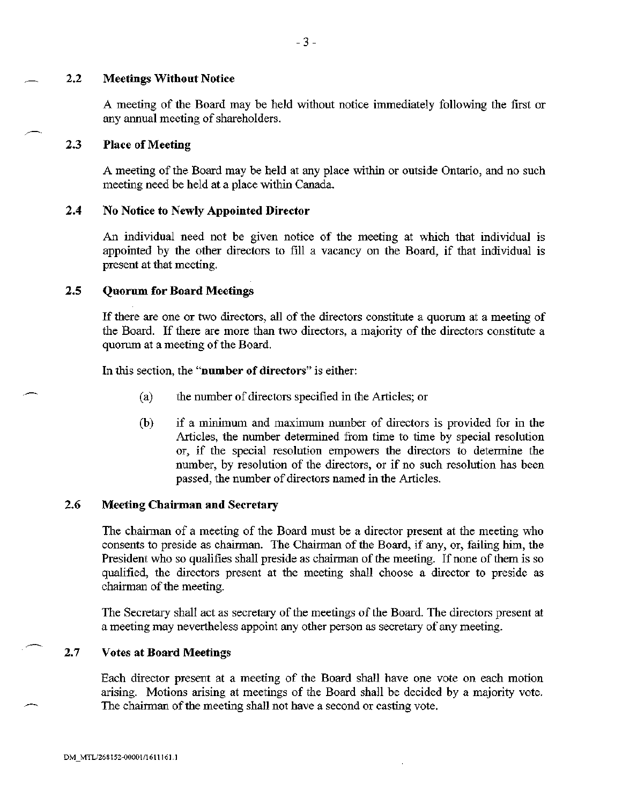#### $2.2$ **Meetings Without Notice**

A meeting of the Board may be held without notice immediately following the first or any annual meeting of shareholders.

#### $2.3$ **Place of Meeting**

A meeting of the Board may be held at any place within or outside Ontario, and no such meeting need be held at a place within Canada.

#### $2.4$ No Notice to Newly Appointed Director

An individual need not be given notice of the meeting at which that individual is appointed by the other directors to fill a vacancy on the Board, if that individual is present at that meeting.

#### $2.5$ **Quorum for Board Meetings**

If there are one or two directors, all of the directors constitute a quorum at a meeting of the Board. If there are more than two directors, a majority of the directors constitute a quorum at a meeting of the Board.

In this section, the "number of directors" is either:

- $(a)$ the number of directors specified in the Articles; or
- $(b)$ if a minimum and maximum number of directors is provided for in the Articles, the number determined from time to time by special resolution or, if the special resolution empowers the directors to determine the number, by resolution of the directors, or if no such resolution has been passed, the number of directors named in the Articles.

#### 2.6 **Meeting Chairman and Secretary**

The chairman of a meeting of the Board must be a director present at the meeting who consents to preside as chairman. The Chairman of the Board, if any, or, failing him, the President who so qualifies shall preside as chairman of the meeting. If none of them is so qualified, the directors present at the meeting shall choose a director to preside as chairman of the meeting.

The Secretary shall act as secretary of the meetings of the Board. The directors present at a meeting may nevertheless appoint any other person as secretary of any meeting.

#### $2.7$ **Votes at Board Meetings**

Each director present at a meeting of the Board shall have one vote on each motion arising. Motions arising at meetings of the Board shall be decided by a majority vote. The chairman of the meeting shall not have a second or casting vote.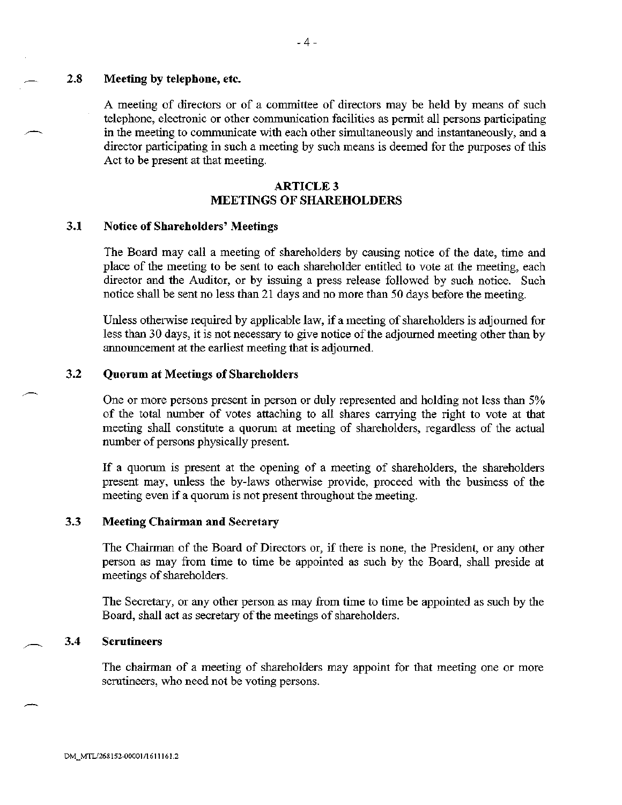#### $2.8$ Meeting by telephone, etc.

A meeting of directors or of a committee of directors may be held by means of such telephone, electronic or other communication facilities as permit all persons participating in the meeting to communicate with each other simultaneously and instantaneously, and a director participating in such a meeting by such means is deemed for the purposes of this Act to be present at that meeting.

## **ARTICLE 3 MEETINGS OF SHAREHOLDERS**

#### $3.1$ **Notice of Shareholders' Meetings**

The Board may call a meeting of shareholders by causing notice of the date, time and place of the meeting to be sent to each shareholder entitled to vote at the meeting, each director and the Auditor, or by issuing a press release followed by such notice. Such notice shall be sent no less than 21 days and no more than 50 days before the meeting.

Unless otherwise required by applicable law, if a meeting of shareholders is adjourned for less than 30 days, it is not necessary to give notice of the adjourned meeting other than by announcement at the earliest meeting that is adjourned.

#### $3.2$ **Quorum at Meetings of Shareholders**

One or more persons present in person or duly represented and holding not less than 5% of the total number of votes attaching to all shares carrying the right to vote at that meeting shall constitute a quorum at meeting of shareholders, regardless of the actual number of persons physically present.

If a quorum is present at the opening of a meeting of shareholders, the shareholders present may, unless the by-laws otherwise provide, proceed with the business of the meeting even if a quorum is not present throughout the meeting.

#### $3.3$ **Meeting Chairman and Secretary**

The Chairman of the Board of Directors or, if there is none, the President, or any other person as may from time to time be appointed as such by the Board, shall preside at meetings of shareholders.

The Secretary, or any other person as may from time to time be appointed as such by the Board, shall act as secretary of the meetings of shareholders.

#### $3.4$ **Scrutineers**

The chairman of a meeting of shareholders may appoint for that meeting one or more scrutineers, who need not be voting persons.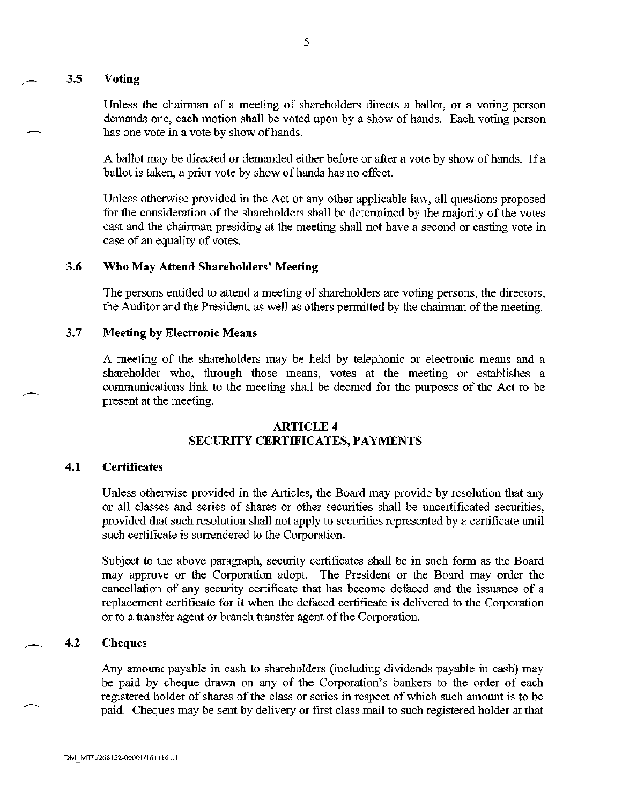#### $3.5$ **Voting**

Unless the chairman of a meeting of shareholders directs a ballot, or a voting person demands one, each motion shall be voted upon by a show of hands. Each voting person has one vote in a vote by show of hands.

A ballot may be directed or demanded either before or after a vote by show of hands. If a ballot is taken, a prior vote by show of hands has no effect.

Unless otherwise provided in the Act or any other applicable law, all questions proposed for the consideration of the shareholders shall be determined by the majority of the votes cast and the chairman presiding at the meeting shall not have a second or casting vote in case of an equality of votes.

#### 3.6 Who May Attend Shareholders' Meeting

The persons entitled to attend a meeting of shareholders are voting persons, the directors, the Auditor and the President, as well as others permitted by the chairman of the meeting.

#### $3.7$ **Meeting by Electronic Means**

A meeting of the shareholders may be held by telephonic or electronic means and a shareholder who, through those means, votes at the meeting or establishes a communications link to the meeting shall be deemed for the purposes of the Act to be present at the meeting.

## **ARTICLE 4** SECURITY CERTIFICATES, PAYMENTS

#### $4.1$ **Certificates**

Unless otherwise provided in the Articles, the Board may provide by resolution that any or all classes and series of shares or other securities shall be uncertificated securities, provided that such resolution shall not apply to securities represented by a certificate until such certificate is surrendered to the Corporation.

Subject to the above paragraph, security certificates shall be in such form as the Board may approve or the Corporation adopt. The President or the Board may order the cancellation of any security certificate that has become defaced and the issuance of a replacement certificate for it when the defaced certificate is delivered to the Corporation or to a transfer agent or branch transfer agent of the Corporation.

#### $4.2$ **Cheques**

Any amount payable in cash to shareholders (including dividends payable in cash) may be paid by cheque drawn on any of the Corporation's bankers to the order of each registered holder of shares of the class or series in respect of which such amount is to be paid. Cheques may be sent by delivery or first class mail to such registered holder at that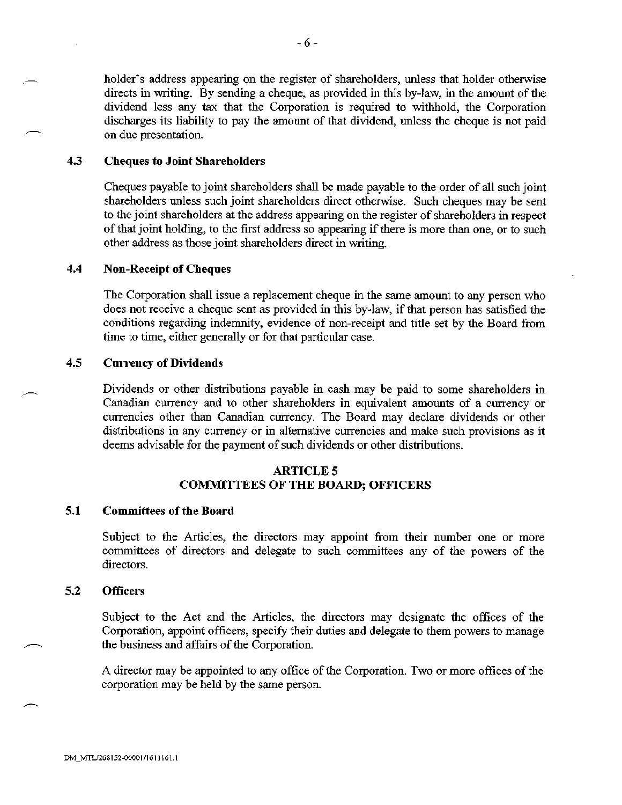holder's address appearing on the register of shareholders, unless that holder otherwise directs in writing. By sending a cheque, as provided in this by-law, in the amount of the dividend less any tax that the Corporation is required to withhold, the Corporation discharges its liability to pay the amount of that dividend, unless the cheque is not paid on due presentation.

#### 4.3 **Cheques to Joint Shareholders**

Cheques payable to joint shareholders shall be made payable to the order of all such joint shareholders unless such joint shareholders direct otherwise. Such cheques may be sent to the joint shareholders at the address appearing on the register of shareholders in respect of that joint holding, to the first address so appearing if there is more than one, or to such other address as those joint shareholders direct in writing.

#### 4.4 **Non-Receipt of Cheques**

The Corporation shall issue a replacement cheque in the same amount to any person who does not receive a cheque sent as provided in this by-law, if that person has satisfied the conditions regarding indemnity, evidence of non-receipt and title set by the Board from time to time, either generally or for that particular case.

#### 4.5 **Currency of Dividends**

Dividends or other distributions payable in cash may be paid to some shareholders in Canadian currency and to other shareholders in equivalent amounts of a currency or currencies other than Canadian currency. The Board may declare dividends or other distributions in any currency or in alternative currencies and make such provisions as it deems advisable for the payment of such dividends or other distributions.

# **ARTICLE 5 COMMITTEES OF THE BOARD; OFFICERS**

#### $5.1$ **Committees of the Board**

Subject to the Articles, the directors may appoint from their number one or more committees of directors and delegate to such committees any of the powers of the directors.

#### $5.2$ **Officers**

Subject to the Act and the Articles, the directors may designate the offices of the Corporation, appoint officers, specify their duties and delegate to them powers to manage the business and affairs of the Corporation.

A director may be appointed to any office of the Corporation. Two or more offices of the corporation may be held by the same person.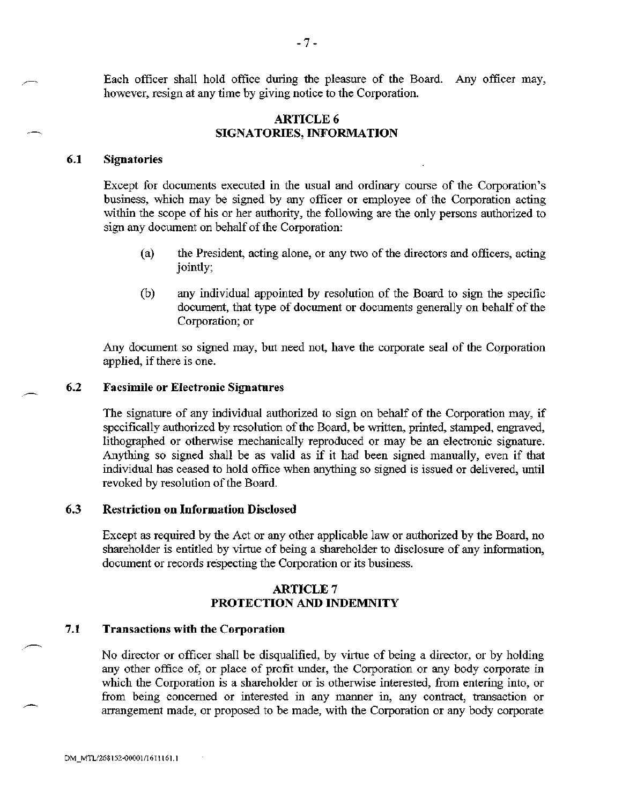Each officer shall hold office during the pleasure of the Board. Any officer may, however, resign at any time by giving notice to the Corporation.

## **ARTICLE 6** SIGNATORIES, INFORMATION

#### $6.1$ **Signatories**

Except for documents executed in the usual and ordinary course of the Corporation's business, which may be signed by any officer or employee of the Corporation acting within the scope of his or her authority, the following are the only persons authorized to sign any document on behalf of the Corporation:

- the President, acting alone, or any two of the directors and officers, acting  $(a)$ jointly;
- $(b)$ any individual appointed by resolution of the Board to sign the specific document, that type of document or documents generally on behalf of the Corporation; or

Any document so signed may, but need not, have the corporate seal of the Corporation applied, if there is one.

#### 6.2 **Facsimile or Electronic Signatures**

The signature of any individual authorized to sign on behalf of the Corporation may, if specifically authorized by resolution of the Board, be written, printed, stamped, engraved, lithographed or otherwise mechanically reproduced or may be an electronic signature. Anything so signed shall be as valid as if it had been signed manually, even if that individual has ceased to hold office when anything so signed is issued or delivered, until revoked by resolution of the Board.

#### 6.3 **Restriction on Information Disclosed**

Except as required by the Act or any other applicable law or authorized by the Board, no shareholder is entitled by virtue of being a shareholder to disclosure of any information, document or records respecting the Corporation or its business.

## **ARTICLE 7** PROTECTION AND INDEMNITY

#### 7.1 **Transactions with the Corporation**

No director or officer shall be disqualified, by virtue of being a director, or by holding any other office of, or place of profit under, the Corporation or any body corporate in which the Corporation is a shareholder or is otherwise interested, from entering into, or from being concerned or interested in any manner in, any contract, transaction or arrangement made, or proposed to be made, with the Corporation or any body corporate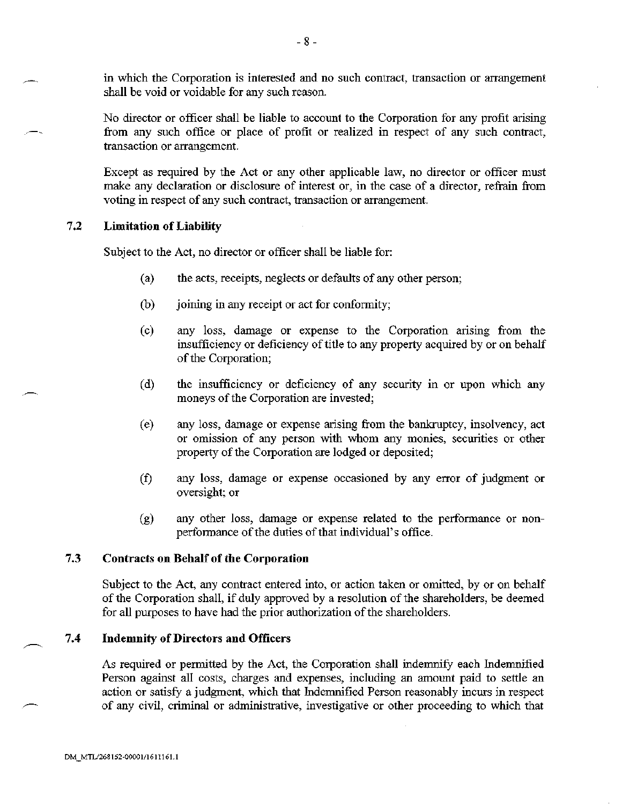in which the Corporation is interested and no such contract, transaction or arrangement shall be void or voidable for any such reason.

No director or officer shall be liable to account to the Corporation for any profit arising from any such office or place of profit or realized in respect of any such contract, transaction or arrangement.

Except as required by the Act or any other applicable law, no director or officer must make any declaration or disclosure of interest or, in the case of a director, refrain from voting in respect of any such contract, transaction or arrangement.

#### $7.2$ **Limitation of Liability**

Subject to the Act, no director or officer shall be liable for:

- $(a)$ the acts, receipts, neglects or defaults of any other person;
- (b) joining in any receipt or act for conformity;
- any loss, damage or expense to the Corporation arising from the  $(c)$ insufficiency or deficiency of title to any property acquired by or on behalf of the Corporation;
- the insufficiency or deficiency of any security in or upon which any  $(d)$ moneys of the Corporation are invested;
- $(e)$ any loss, damage or expense arising from the bankruptcy, insolvency, act or omission of any person with whom any monies, securities or other property of the Corporation are lodged or deposited;
- any loss, damage or expense occasioned by any error of judgment or  $(f)$ oversight; or
- $(g)$ any other loss, damage or expense related to the performance or nonperformance of the duties of that individual's office.

#### $7.3$ **Contracts on Behalf of the Corporation**

Subject to the Act, any contract entered into, or action taken or omitted, by or on behalf of the Corporation shall, if duly approved by a resolution of the shareholders, be deemed for all purposes to have had the prior authorization of the shareholders.

#### $7.4$ **Indemnity of Directors and Officers**

As required or permitted by the Act, the Corporation shall indemnify each Indemnified Person against all costs, charges and expenses, including an amount paid to settle an action or satisfy a judgment, which that Indemnified Person reasonably incurs in respect of any civil, criminal or administrative, investigative or other proceeding to which that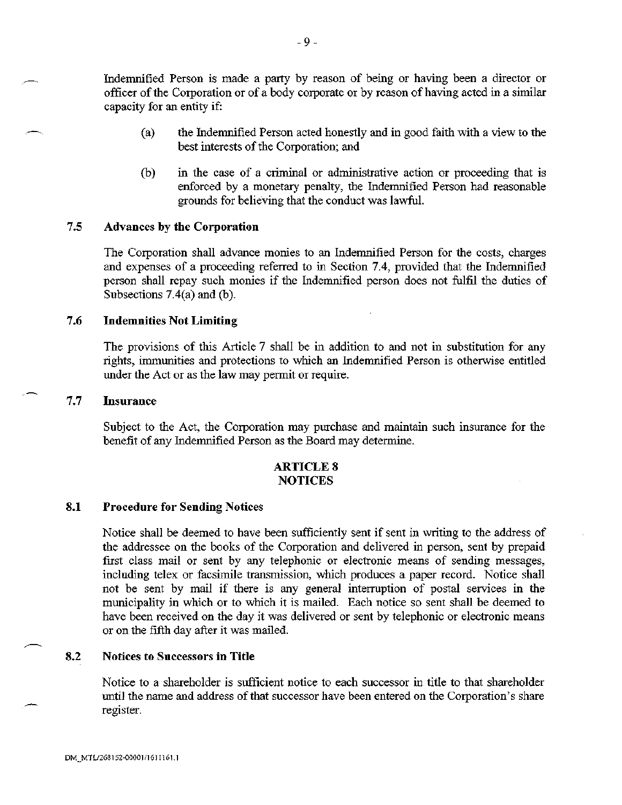Indemnified Person is made a party by reason of being or having been a director or officer of the Corporation or of a body corporate or by reason of having acted in a similar capacity for an entity if:

- the Indemnified Person acted honestly and in good faith with a view to the  $(a)$ best interests of the Corporation; and
- in the case of a criminal or administrative action or proceeding that is (b) enforced by a monetary penalty, the Indemnified Person had reasonable grounds for believing that the conduct was lawful.

#### $7.5$ **Advances by the Corporation**

The Corporation shall advance monies to an Indemnified Person for the costs, charges and expenses of a proceeding referred to in Section 7.4, provided that the Indemnified person shall repay such monies if the Indemnified person does not fulfil the duties of Subsections  $7.4(a)$  and (b).

#### 7.6 **Indemnities Not Limiting**

The provisions of this Article 7 shall be in addition to and not in substitution for any rights, immunities and protections to which an Indemnified Person is otherwise entitled under the Act or as the law may permit or require.

#### $7.7$ **Insurance**

Subject to the Act, the Corporation may purchase and maintain such insurance for the benefit of any Indemnified Person as the Board may determine.

## **ARTICLE 8 NOTICES**

#### 8.1 **Procedure for Sending Notices**

Notice shall be deemed to have been sufficiently sent if sent in writing to the address of the addressee on the books of the Corporation and delivered in person, sent by prepaid first class mail or sent by any telephonic or electronic means of sending messages, including telex or facsimile transmission, which produces a paper record. Notice shall not be sent by mail if there is any general interruption of postal services in the municipality in which or to which it is mailed. Each notice so sent shall be deemed to have been received on the day it was delivered or sent by telephonic or electronic means or on the fifth day after it was mailed.

#### 8.2 **Notices to Successors in Title**

Notice to a shareholder is sufficient notice to each successor in title to that shareholder until the name and address of that successor have been entered on the Corporation's share register.